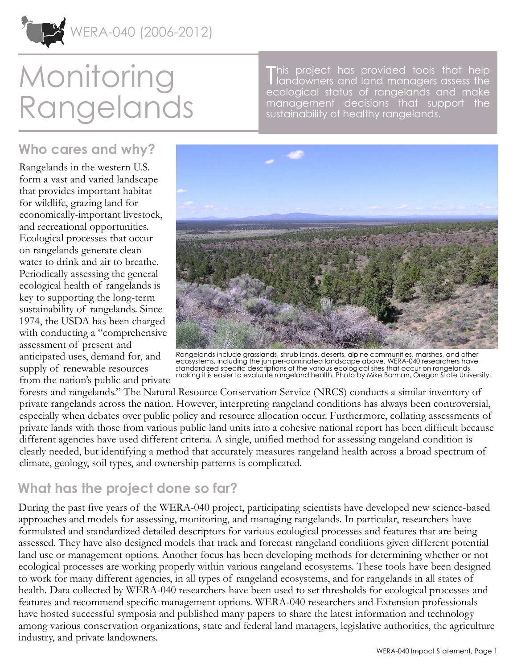

# **Monitoring** Rangelands

This project has provided tools that help<br>I landowners and land managers assess the landowners and land managers assess the ecological status of rangelands and make management decisions that support the sustainability of healthy rangelands.

### **Who cares and why?**

Rangelands in the western U.S. form a vast and varied landscape that provides important habitat for wildlife, grazing land for economically-important livestock, and recreational opportunities. Ecological processes that occur on rangelands generate clean water to drink and air to breathe. Periodically assessing the general ecological health of rangelands is key to supporting the long-term sustainability of rangelands. Since 1974, the USDA has been charged with conducting a "comprehensive assessment of present and anticipated uses, demand for, and supply of renewable resources from the nation's public and private



Rangelands include grasslands, shrub lands, deserts, alpine communities, marshes, and other ecosystems, including the juniper-dominated landscape above. WERA-040 researchers have standardized specific descriptions of the various ecological sites that occur on rangelands, making it is easier to evaluate rangeland health. Photo by Mike Borman, Oregon State University.

forests and rangelands." The Natural Resource Conservation Service (NRCS) conducts a similar inventory of private rangelands across the nation. However, interpreting rangeland conditions has always been controversial, especially when debates over public policy and resource allocation occur. Furthermore, collating assessments of private lands with those from various public land units into a cohesive national report has been difficult because different agencies have used different criteria. A single, unified method for assessing rangeland condition is clearly needed, but identifying a method that accurately measures rangeland health across a broad spectrum of climate, geology, soil types, and ownership patterns is complicated.

## **What has the project done so far?**

During the past five years of the WERA-040 project, participating scientists have developed new science-based approaches and models for assessing, monitoring, and managing rangelands. In particular, researchers have formulated and standardized detailed descriptors for various ecological processes and features that are being assessed. They have also designed models that track and forecast rangeland conditions given different potential land use or management options. Another focus has been developing methods for determining whether or not ecological processes are working properly within various rangeland ecosystems. These tools have been designed to work for many different agencies, in all types of rangeland ecosystems, and for rangelands in all states of health. Data collected by WERA-040 researchers have been used to set thresholds for ecological processes and features and recommend specific management options. WERA-040 researchers and Extension professionals have hosted successful symposia and published many papers to share the latest information and technology among various conservation organizations, state and federal land managers, legislative authorities, the agriculture industry, and private landowners.